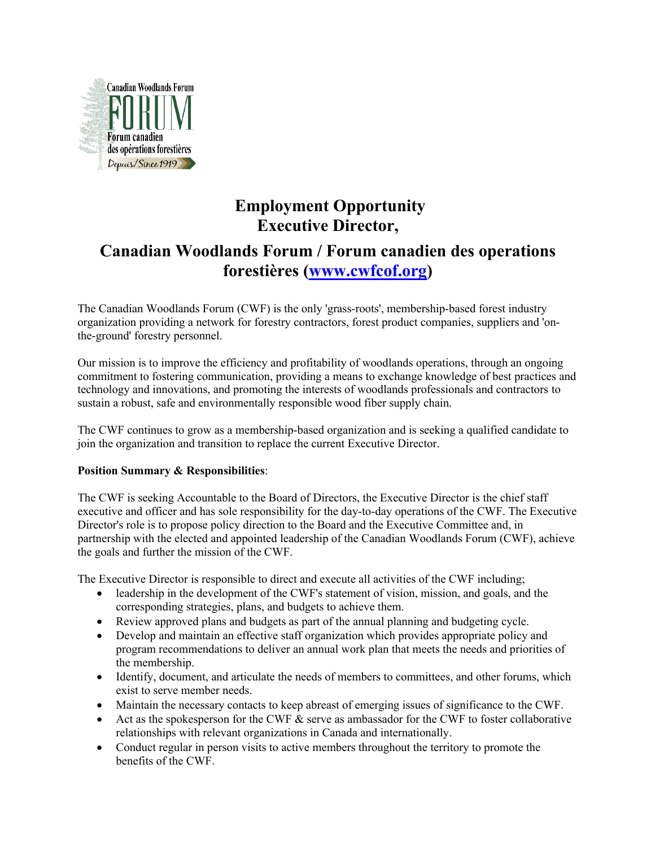

## **Employment Opportunity Executive Director,**

# **Canadian Woodlands Forum / Forum canadien des operations forestières (www.cwfcof.org)**

The Canadian Woodlands Forum (CWF) is the only 'grass-roots', membership-based forest industry organization providing a network for forestry contractors, forest product companies, suppliers and 'onthe-ground' forestry personnel.

Our mission is to improve the efficiency and profitability of woodlands operations, through an ongoing commitment to fostering communication, providing a means to exchange knowledge of best practices and technology and innovations, and promoting the interests of woodlands professionals and contractors to sustain a robust, safe and environmentally responsible wood fiber supply chain.

The CWF continues to grow as a membership-based organization and is seeking a qualified candidate to join the organization and transition to replace the current Executive Director.

## **Position Summary & Responsibilities**:

The CWF is seeking Accountable to the Board of Directors, the Executive Director is the chief staff executive and officer and has sole responsibility for the day-to-day operations of the CWF. The Executive Director's role is to propose policy direction to the Board and the Executive Committee and, in partnership with the elected and appointed leadership of the Canadian Woodlands Forum (CWF), achieve the goals and further the mission of the CWF.

The Executive Director is responsible to direct and execute all activities of the CWF including;

- leadership in the development of the CWF's statement of vision, mission, and goals, and the corresponding strategies, plans, and budgets to achieve them.
- Review approved plans and budgets as part of the annual planning and budgeting cycle.
- Develop and maintain an effective staff organization which provides appropriate policy and program recommendations to deliver an annual work plan that meets the needs and priorities of the membership.
- Identify, document, and articulate the needs of members to committees, and other forums, which exist to serve member needs.
- Maintain the necessary contacts to keep abreast of emerging issues of significance to the CWF.
- Act as the spokesperson for the CWF  $\&$  serve as ambassador for the CWF to foster collaborative relationships with relevant organizations in Canada and internationally.
- Conduct regular in person visits to active members throughout the territory to promote the benefits of the CWF.